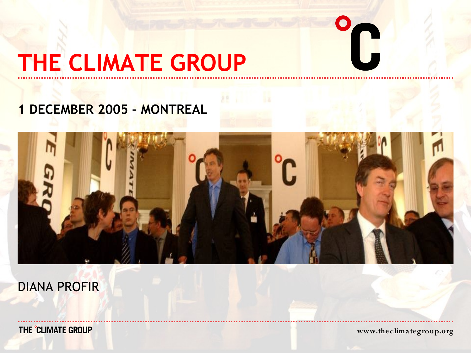# **THE CLIMATE GROUP**

### **1 DECEMBER 2005 – MONTREAL**



DIANA PROFIR

THE CLIMATE GROUP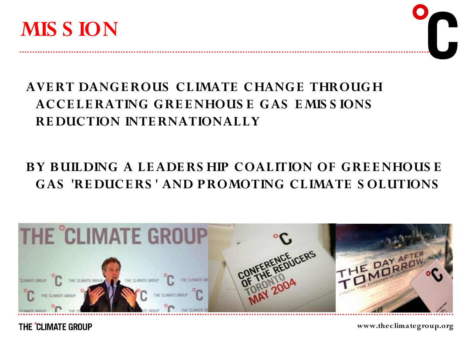

#### **AVERT DANGEROUS CLIMATE CHANGE THROUGH ACCE LERATING GRE ENHOUS E GAS E MIS S IONS RE DUCTION INTERNATIONALLY**

#### **BY BUILDING A LEADERS HIP COALITION OF GRE ENHOUS E GAS 'RE DUCERS ' AND PROMOTING CLIMATE S OLUTIONS**



THE °CLIMATE GROUP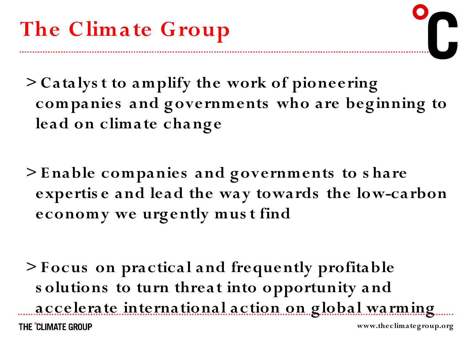**> Catalys t to amplify the work of pioneering companies and governments who are beginning to lead on climate change**

**> E nable companies and governments to s hare expertis e and lead the way towards the low-carbon economy we urgently mus t find**

**> F ocus on practical and frequently profitable s olutions to turn threat into opportunity and accelerate international action on global warming** THE CLIMATE GROUP **www.theclimategroup.org**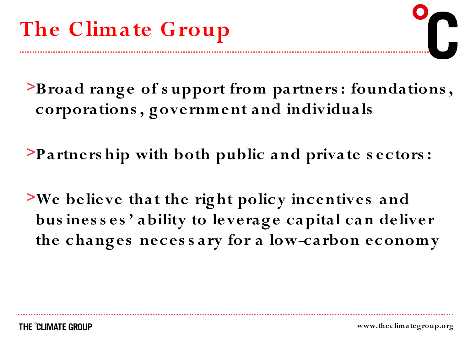>**Broad range of s upport from partners : foundations , corporations , government and individuals**

>**Partners hip with both public and private s ectors :**

>**We believe that the right policy incentives and bus ines s es ' ability to leverage capital can deliver the changes neces s ary for a low-carbon economy**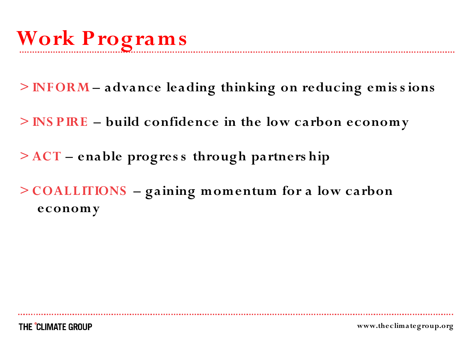- **> INFORM – advance leading thinking on reducing emis s ions**
- **> INS PIRE – build confidence in the low carbon economy**
- **> ACT – enable progres s through partners hip**
- **> COALLITIONS – gaining momentum for a low carbon economy**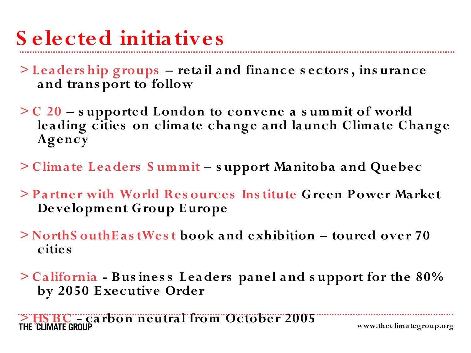- **S elected initiatives**
- **> Leaders hip groups – retail and finance s ectors , ins urance and trans port to follow**
- **> C 20 – s upported London to convene a s ummit of world leading cities on climate change and launch Climate Change Agency**
- **> Climate Leaders S ummit – s upport Manitoba and Quebec**
- **> Partner with World Res ources Ins titute Green Power Market Development Group E urope**
- **> NorthS outhE as tWes t book and exhibition – toured over 70 cities**
- **> California - Bus ines s Leaders panel and s upport for the 80% by 2050 E xecutive Order**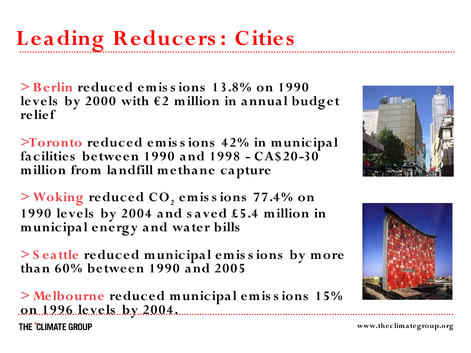**> Berlin reduced emis s ions 13.8% on 1990 levels by 2000 with €2 million in annual budget relief**

**>Toronto reduced emis s ions 42% in municipal facilities between 1990 and 1998 - CA\$20-30 million from landfill methane capture**

**> Woking reduced CO<sup>2</sup> emis s ions 77.4% on 1990 levels by 2004 and s aved £5.4 million in municipal energy and water bills**

**> S eattle reduced municipal emis s ions by more than 60% between 1990 and 2005**

**> Melbourne reduced municipal emis s ions 15% on 1996 levels by 2004.**THE 'CI IMATE GROUP



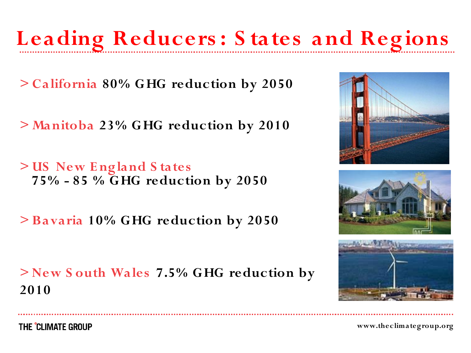### **Leading Reducers : S tates and Regions**

**> California 80% GHG reduction by 2050**

**> Manitoba 23% GHG reduction by 2010**

**> US New E ngland S tates 75% - 85 % GHG reduction by 2050**

**> Bavaria 10% GHG reduction by 2050**

**> New S outh Wales 7.5% GHG reduction by 2010**







THE CLIMATE GROUP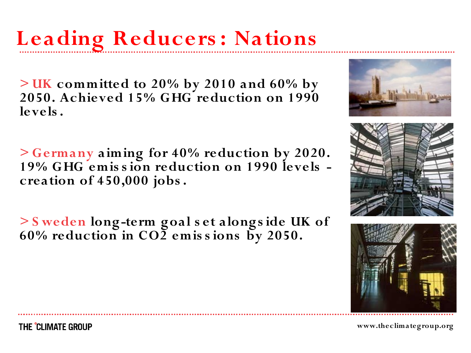## **Leading Reducers : Nations**

**> UK committed to 20% by 2010 and 60% by 2050. Achieved 15% GHG reduction on 1990 levels .**

**> Germany aiming for 40% reduction by 2020. 19% GHG emis s ion reduction on 1990 levels creation of 450,000 jobs .**

**> S weden long-term goal s et alongs ide UK of 60% reduction in CO2 emis s ions by 2050.**





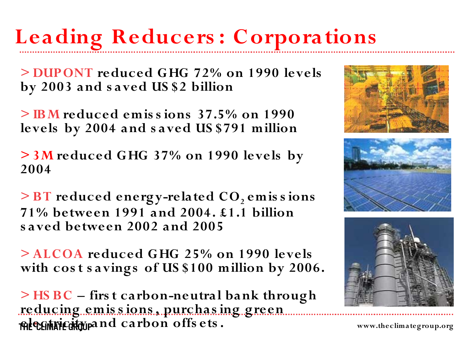## **Leading Reducers : Corporations**

**> DUPONT reduced GHG 72% on 1990 levels by 2003 and s aved US \$2 billion**

**> IBM reduced emis s ions 37.5% on 1990 levels by 2004 and s aved US \$791 million**

**> 3M reduced GHG 37% on 1990 levels by 2004**

**> BT reduced energy-related CO<sup>2</sup> emis s ions 71% between 1991 and 2004. £1.1 billion s aved between 2002 and 2005**

**> ALCOA reduced GHG 25% on 1990 levels with cos t s avings of US \$100 million by 2006.**

**> HS BC – firs t carbon-neutral bank through reducing emis s ions , purchas ing green electricity and carbon offs ets .**